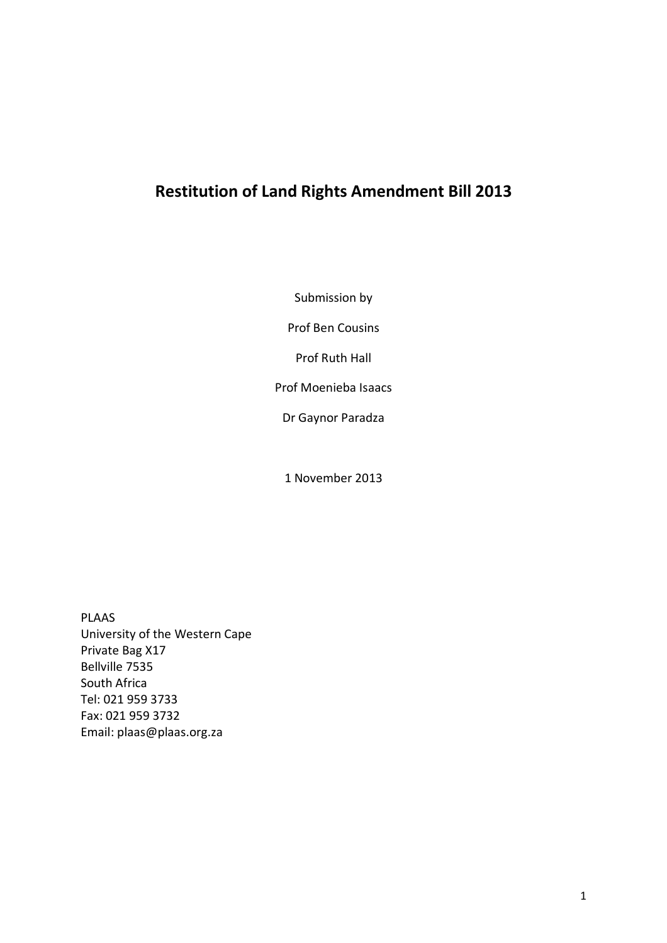# **Restitution of Land Rights Amendment Bill 2013**

Submission by

Prof Ben Cousins

Prof Ruth Hall

Prof Moenieba Isaacs

Dr Gaynor Paradza

1 November 2013

PLAAS University of the Western Cape Private Bag X17 Bellville 7535 South Africa Tel: 021 959 3733 Fax: 021 959 3732 Email: plaas@plaas.org.za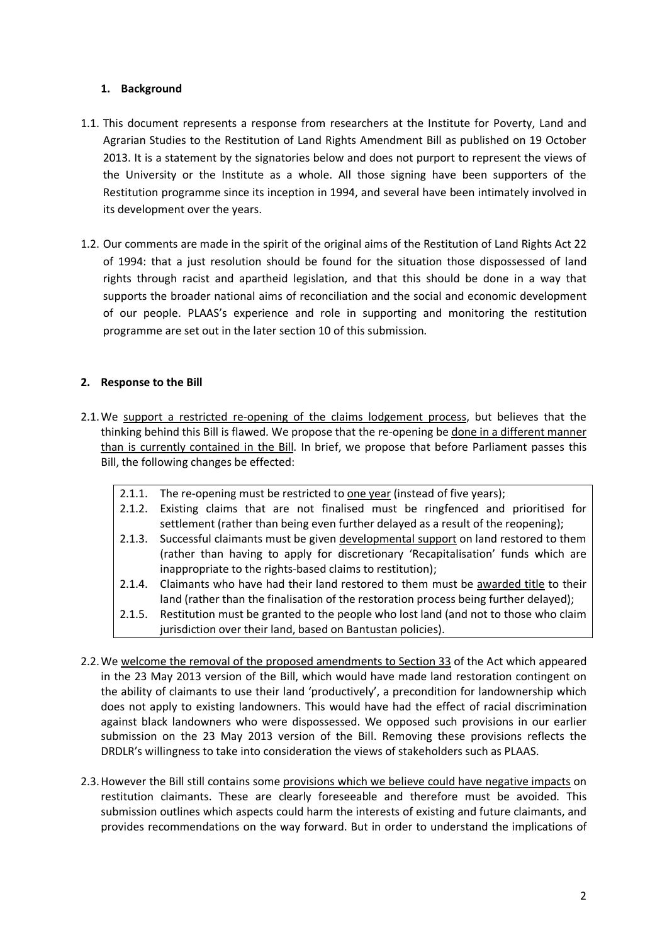## **1. Background**

- 1.1. This document represents a response from researchers at the Institute for Poverty, Land and Agrarian Studies to the Restitution of Land Rights Amendment Bill as published on 19 October 2013. It is a statement by the signatories below and does not purport to represent the views of the University or the Institute as a whole. All those signing have been supporters of the Restitution programme since its inception in 1994, and several have been intimately involved in its development over the years.
- 1.2. Our comments are made in the spirit of the original aims of the Restitution of Land Rights Act 22 of 1994: that a just resolution should be found for the situation those dispossessed of land rights through racist and apartheid legislation, and that this should be done in a way that supports the broader national aims of reconciliation and the social and economic development of our people. PLAAS's experience and role in supporting and monitoring the restitution programme are set out in the later section 10 of this submission.

# **2. Response to the Bill**

- 2.1.We support a restricted re-opening of the claims lodgement process, but believes that the thinking behind this Bill is flawed. We propose that the re-opening be done in a different manner than is currently contained in the Bill. In brief, we propose that before Parliament passes this Bill, the following changes be effected:
	- 2.1.1. The re-opening must be restricted to one year (instead of five years);
	- 2.1.2. Existing claims that are not finalised must be ringfenced and prioritised for settlement (rather than being even further delayed as a result of the reopening);
	- 2.1.3. Successful claimants must be given developmental support on land restored to them (rather than having to apply for discretionary 'Recapitalisation' funds which are inappropriate to the rights-based claims to restitution);
	- 2.1.4. Claimants who have had their land restored to them must be awarded title to their land (rather than the finalisation of the restoration process being further delayed);
	- 2.1.5. Restitution must be granted to the people who lost land (and not to those who claim jurisdiction over their land, based on Bantustan policies).
- 2.2.We welcome the removal of the proposed amendments to Section 33 of the Act which appeared in the 23 May 2013 version of the Bill, which would have made land restoration contingent on the ability of claimants to use their land 'productively', a precondition for landownership which does not apply to existing landowners. This would have had the effect of racial discrimination against black landowners who were dispossessed. We opposed such provisions in our earlier submission on the 23 May 2013 version of the Bill. Removing these provisions reflects the DRDLR's willingness to take into consideration the views of stakeholders such as PLAAS.
- 2.3.However the Bill still contains some provisions which we believe could have negative impacts on restitution claimants. These are clearly foreseeable and therefore must be avoided. This submission outlines which aspects could harm the interests of existing and future claimants, and provides recommendations on the way forward. But in order to understand the implications of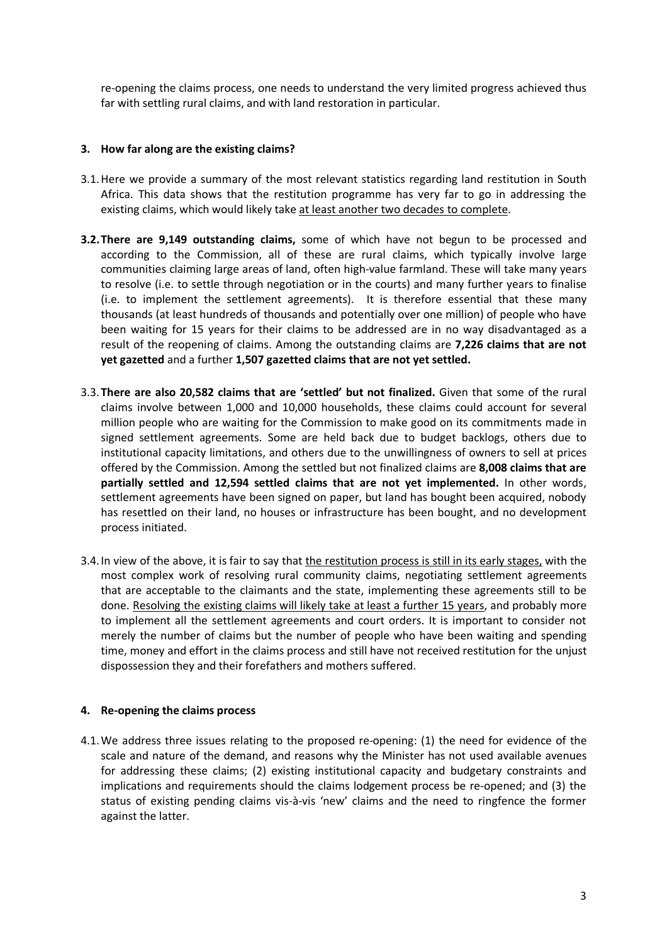re-opening the claims process, one needs to understand the very limited progress achieved thus far with settling rural claims, and with land restoration in particular.

#### **3. How far along are the existing claims?**

- 3.1.Here we provide a summary of the most relevant statistics regarding land restitution in South Africa. This data shows that the restitution programme has very far to go in addressing the existing claims, which would likely take at least another two decades to complete.
- **3.2.There are 9,149 outstanding claims,** some of which have not begun to be processed and according to the Commission, all of these are rural claims, which typically involve large communities claiming large areas of land, often high-value farmland. These will take many years to resolve (i.e. to settle through negotiation or in the courts) and many further years to finalise (i.e. to implement the settlement agreements). It is therefore essential that these many thousands (at least hundreds of thousands and potentially over one million) of people who have been waiting for 15 years for their claims to be addressed are in no way disadvantaged as a result of the reopening of claims. Among the outstanding claims are **7,226 claims that are not yet gazetted** and a further **1,507 gazetted claims that are not yet settled.**
- 3.3.**There are also 20,582 claims that are 'settled' but not finalized.** Given that some of the rural claims involve between 1,000 and 10,000 households, these claims could account for several million people who are waiting for the Commission to make good on its commitments made in signed settlement agreements. Some are held back due to budget backlogs, others due to institutional capacity limitations, and others due to the unwillingness of owners to sell at prices offered by the Commission. Among the settled but not finalized claims are **8,008 claims that are partially settled and 12,594 settled claims that are not yet implemented.** In other words, settlement agreements have been signed on paper, but land has bought been acquired, nobody has resettled on their land, no houses or infrastructure has been bought, and no development process initiated.
- 3.4.In view of the above, it is fair to say that the restitution process is still in its early stages, with the most complex work of resolving rural community claims, negotiating settlement agreements that are acceptable to the claimants and the state, implementing these agreements still to be done. Resolving the existing claims will likely take at least a further 15 years, and probably more to implement all the settlement agreements and court orders. It is important to consider not merely the number of claims but the number of people who have been waiting and spending time, money and effort in the claims process and still have not received restitution for the unjust dispossession they and their forefathers and mothers suffered.

## **4. Re-opening the claims process**

4.1.We address three issues relating to the proposed re-opening: (1) the need for evidence of the scale and nature of the demand, and reasons why the Minister has not used available avenues for addressing these claims; (2) existing institutional capacity and budgetary constraints and implications and requirements should the claims lodgement process be re-opened; and (3) the status of existing pending claims vis-à-vis 'new' claims and the need to ringfence the former against the latter.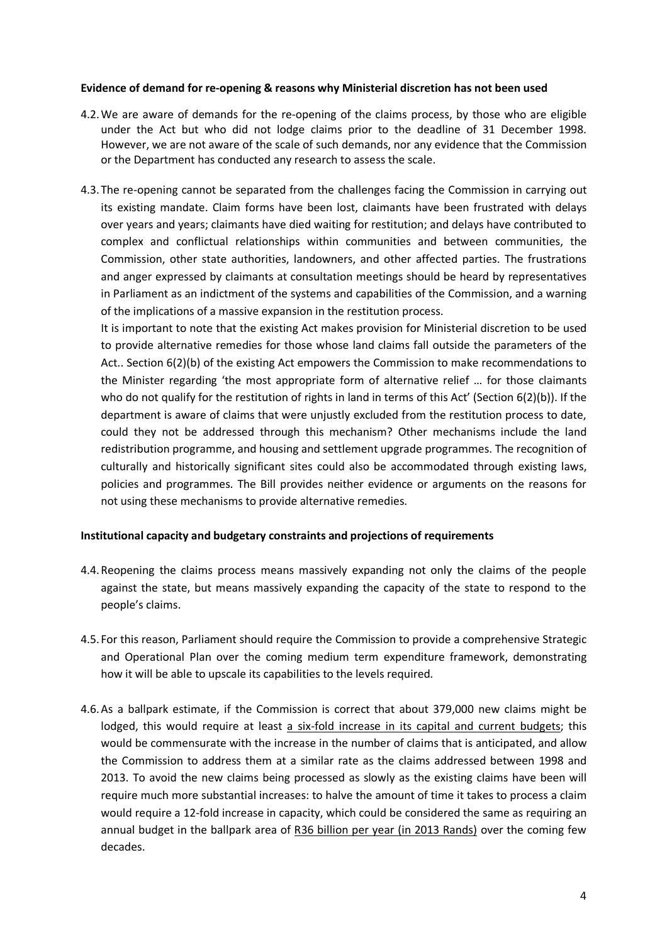#### **Evidence of demand for re-opening & reasons why Ministerial discretion has not been used**

- 4.2.We are aware of demands for the re-opening of the claims process, by those who are eligible under the Act but who did not lodge claims prior to the deadline of 31 December 1998. However, we are not aware of the scale of such demands, nor any evidence that the Commission or the Department has conducted any research to assess the scale.
- 4.3.The re-opening cannot be separated from the challenges facing the Commission in carrying out its existing mandate. Claim forms have been lost, claimants have been frustrated with delays over years and years; claimants have died waiting for restitution; and delays have contributed to complex and conflictual relationships within communities and between communities, the Commission, other state authorities, landowners, and other affected parties. The frustrations and anger expressed by claimants at consultation meetings should be heard by representatives in Parliament as an indictment of the systems and capabilities of the Commission, and a warning of the implications of a massive expansion in the restitution process.

It is important to note that the existing Act makes provision for Ministerial discretion to be used to provide alternative remedies for those whose land claims fall outside the parameters of the Act.. Section 6(2)(b) of the existing Act empowers the Commission to make recommendations to the Minister regarding 'the most appropriate form of alternative relief … for those claimants who do not qualify for the restitution of rights in land in terms of this Act' (Section 6(2)(b)). If the department is aware of claims that were unjustly excluded from the restitution process to date, could they not be addressed through this mechanism? Other mechanisms include the land redistribution programme, and housing and settlement upgrade programmes. The recognition of culturally and historically significant sites could also be accommodated through existing laws, policies and programmes. The Bill provides neither evidence or arguments on the reasons for not using these mechanisms to provide alternative remedies.

#### **Institutional capacity and budgetary constraints and projections of requirements**

- 4.4.Reopening the claims process means massively expanding not only the claims of the people against the state, but means massively expanding the capacity of the state to respond to the people's claims.
- 4.5. For this reason, Parliament should require the Commission to provide a comprehensive Strategic and Operational Plan over the coming medium term expenditure framework, demonstrating how it will be able to upscale its capabilities to the levels required.
- 4.6.As a ballpark estimate, if the Commission is correct that about 379,000 new claims might be lodged, this would require at least a six-fold increase in its capital and current budgets; this would be commensurate with the increase in the number of claims that is anticipated, and allow the Commission to address them at a similar rate as the claims addressed between 1998 and 2013. To avoid the new claims being processed as slowly as the existing claims have been will require much more substantial increases: to halve the amount of time it takes to process a claim would require a 12-fold increase in capacity, which could be considered the same as requiring an annual budget in the ballpark area of R36 billion per year (in 2013 Rands) over the coming few decades.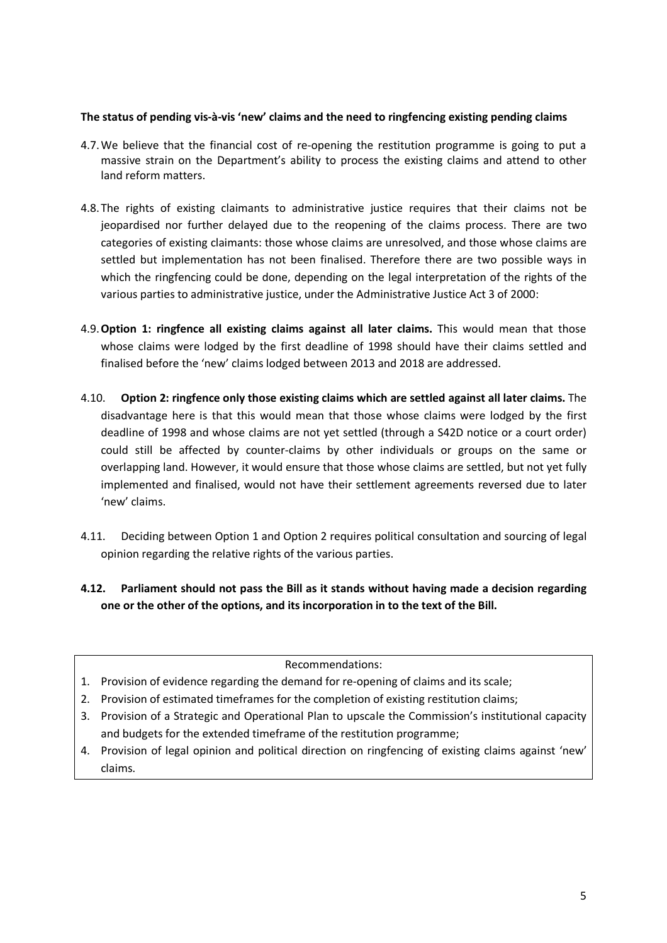#### **The status of pending vis-à-vis 'new' claims and the need to ringfencing existing pending claims**

- 4.7.We believe that the financial cost of re-opening the restitution programme is going to put a massive strain on the Department's ability to process the existing claims and attend to other land reform matters.
- 4.8.The rights of existing claimants to administrative justice requires that their claims not be jeopardised nor further delayed due to the reopening of the claims process. There are two categories of existing claimants: those whose claims are unresolved, and those whose claims are settled but implementation has not been finalised. Therefore there are two possible ways in which the ringfencing could be done, depending on the legal interpretation of the rights of the various parties to administrative justice, under the Administrative Justice Act 3 of 2000:
- 4.9.**Option 1: ringfence all existing claims against all later claims.** This would mean that those whose claims were lodged by the first deadline of 1998 should have their claims settled and finalised before the 'new' claims lodged between 2013 and 2018 are addressed.
- 4.10. **Option 2: ringfence only those existing claims which are settled against all later claims.** The disadvantage here is that this would mean that those whose claims were lodged by the first deadline of 1998 and whose claims are not yet settled (through a S42D notice or a court order) could still be affected by counter-claims by other individuals or groups on the same or overlapping land. However, it would ensure that those whose claims are settled, but not yet fully implemented and finalised, would not have their settlement agreements reversed due to later 'new' claims.
- 4.11. Deciding between Option 1 and Option 2 requires political consultation and sourcing of legal opinion regarding the relative rights of the various parties.
- **4.12. Parliament should not pass the Bill as it stands without having made a decision regarding one or the other of the options, and its incorporation in to the text of the Bill.**

Recommendations:

- 1. Provision of evidence regarding the demand for re-opening of claims and its scale;
- 2. Provision of estimated timeframes for the completion of existing restitution claims;
- 3. Provision of a Strategic and Operational Plan to upscale the Commission's institutional capacity and budgets for the extended timeframe of the restitution programme;
- 4. Provision of legal opinion and political direction on ringfencing of existing claims against 'new' claims.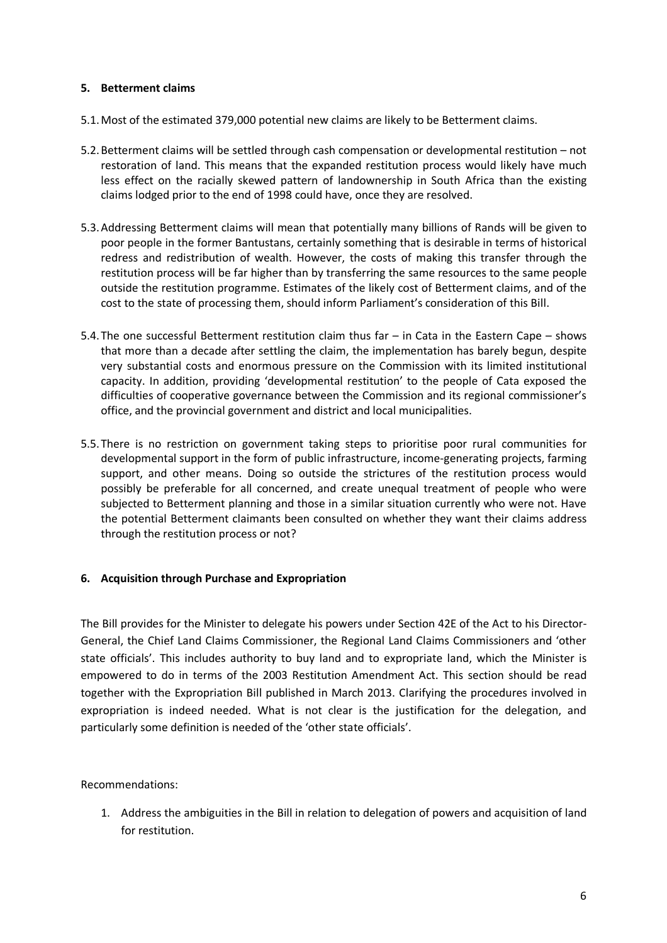#### **5. Betterment claims**

- 5.1.Most of the estimated 379,000 potential new claims are likely to be Betterment claims.
- 5.2.Betterment claims will be settled through cash compensation or developmental restitution not restoration of land. This means that the expanded restitution process would likely have much less effect on the racially skewed pattern of landownership in South Africa than the existing claims lodged prior to the end of 1998 could have, once they are resolved.
- 5.3.Addressing Betterment claims will mean that potentially many billions of Rands will be given to poor people in the former Bantustans, certainly something that is desirable in terms of historical redress and redistribution of wealth. However, the costs of making this transfer through the restitution process will be far higher than by transferring the same resources to the same people outside the restitution programme. Estimates of the likely cost of Betterment claims, and of the cost to the state of processing them, should inform Parliament's consideration of this Bill.
- 5.4.The one successful Betterment restitution claim thus far in Cata in the Eastern Cape shows that more than a decade after settling the claim, the implementation has barely begun, despite very substantial costs and enormous pressure on the Commission with its limited institutional capacity. In addition, providing 'developmental restitution' to the people of Cata exposed the difficulties of cooperative governance between the Commission and its regional commissioner's office, and the provincial government and district and local municipalities.
- 5.5.There is no restriction on government taking steps to prioritise poor rural communities for developmental support in the form of public infrastructure, income-generating projects, farming support, and other means. Doing so outside the strictures of the restitution process would possibly be preferable for all concerned, and create unequal treatment of people who were subjected to Betterment planning and those in a similar situation currently who were not. Have the potential Betterment claimants been consulted on whether they want their claims address through the restitution process or not?

## **6. Acquisition through Purchase and Expropriation**

The Bill provides for the Minister to delegate his powers under Section 42E of the Act to his Director-General, the Chief Land Claims Commissioner, the Regional Land Claims Commissioners and 'other state officials'. This includes authority to buy land and to expropriate land, which the Minister is empowered to do in terms of the 2003 Restitution Amendment Act. This section should be read together with the Expropriation Bill published in March 2013. Clarifying the procedures involved in expropriation is indeed needed. What is not clear is the justification for the delegation, and particularly some definition is needed of the 'other state officials'.

Recommendations:

1. Address the ambiguities in the Bill in relation to delegation of powers and acquisition of land for restitution.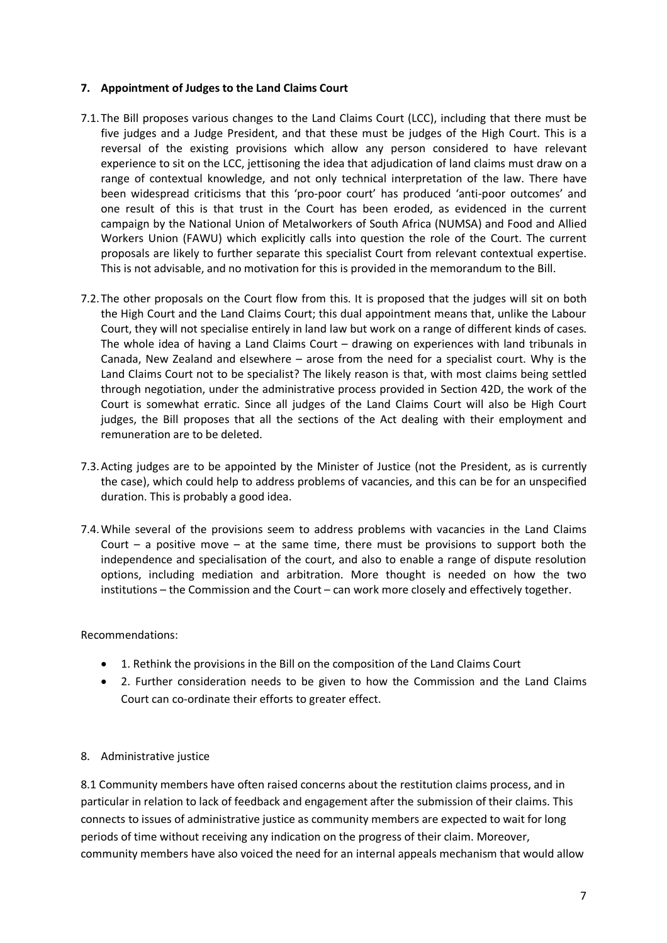#### **7. Appointment of Judges to the Land Claims Court**

- 7.1.The Bill proposes various changes to the Land Claims Court (LCC), including that there must be five judges and a Judge President, and that these must be judges of the High Court. This is a reversal of the existing provisions which allow any person considered to have relevant experience to sit on the LCC, jettisoning the idea that adjudication of land claims must draw on a range of contextual knowledge, and not only technical interpretation of the law. There have been widespread criticisms that this 'pro-poor court' has produced 'anti-poor outcomes' and one result of this is that trust in the Court has been eroded, as evidenced in the current campaign by the National Union of Metalworkers of South Africa (NUMSA) and Food and Allied Workers Union (FAWU) which explicitly calls into question the role of the Court. The current proposals are likely to further separate this specialist Court from relevant contextual expertise. This is not advisable, and no motivation for this is provided in the memorandum to the Bill.
- 7.2.The other proposals on the Court flow from this. It is proposed that the judges will sit on both the High Court and the Land Claims Court; this dual appointment means that, unlike the Labour Court, they will not specialise entirely in land law but work on a range of different kinds of cases. The whole idea of having a Land Claims Court – drawing on experiences with land tribunals in Canada, New Zealand and elsewhere – arose from the need for a specialist court. Why is the Land Claims Court not to be specialist? The likely reason is that, with most claims being settled through negotiation, under the administrative process provided in Section 42D, the work of the Court is somewhat erratic. Since all judges of the Land Claims Court will also be High Court judges, the Bill proposes that all the sections of the Act dealing with their employment and remuneration are to be deleted.
- 7.3.Acting judges are to be appointed by the Minister of Justice (not the President, as is currently the case), which could help to address problems of vacancies, and this can be for an unspecified duration. This is probably a good idea.
- 7.4.While several of the provisions seem to address problems with vacancies in the Land Claims Court – a positive move – at the same time, there must be provisions to support both the independence and specialisation of the court, and also to enable a range of dispute resolution options, including mediation and arbitration. More thought is needed on how the two institutions – the Commission and the Court – can work more closely and effectively together.

Recommendations:

- 1. Rethink the provisions in the Bill on the composition of the Land Claims Court
- 2. Further consideration needs to be given to how the Commission and the Land Claims Court can co-ordinate their efforts to greater effect.

## 8. Administrative justice

8.1 Community members have often raised concerns about the restitution claims process, and in particular in relation to lack of feedback and engagement after the submission of their claims. This connects to issues of administrative justice as community members are expected to wait for long periods of time without receiving any indication on the progress of their claim. Moreover, community members have also voiced the need for an internal appeals mechanism that would allow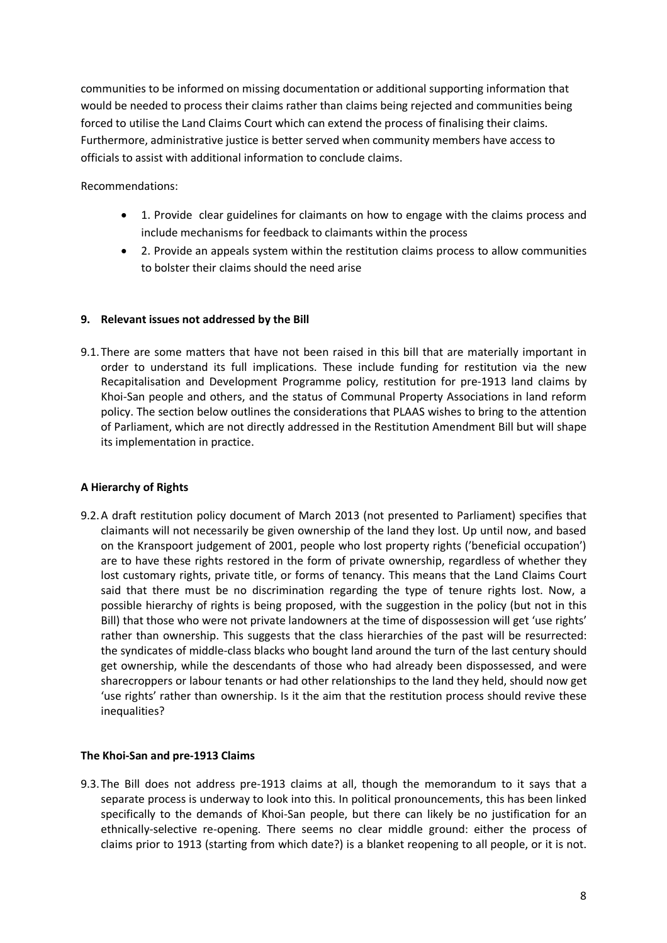communities to be informed on missing documentation or additional supporting information that would be needed to process their claims rather than claims being rejected and communities being forced to utilise the Land Claims Court which can extend the process of finalising their claims. Furthermore, administrative justice is better served when community members have access to officials to assist with additional information to conclude claims.

Recommendations:

- 1. Provide clear guidelines for claimants on how to engage with the claims process and include mechanisms for feedback to claimants within the process
- 2. Provide an appeals system within the restitution claims process to allow communities to bolster their claims should the need arise

# **9. Relevant issues not addressed by the Bill**

9.1.There are some matters that have not been raised in this bill that are materially important in order to understand its full implications. These include funding for restitution via the new Recapitalisation and Development Programme policy, restitution for pre-1913 land claims by Khoi-San people and others, and the status of Communal Property Associations in land reform policy. The section below outlines the considerations that PLAAS wishes to bring to the attention of Parliament, which are not directly addressed in the Restitution Amendment Bill but will shape its implementation in practice.

# **A Hierarchy of Rights**

9.2.A draft restitution policy document of March 2013 (not presented to Parliament) specifies that claimants will not necessarily be given ownership of the land they lost. Up until now, and based on the Kranspoort judgement of 2001, people who lost property rights ('beneficial occupation') are to have these rights restored in the form of private ownership, regardless of whether they lost customary rights, private title, or forms of tenancy. This means that the Land Claims Court said that there must be no discrimination regarding the type of tenure rights lost. Now, a possible hierarchy of rights is being proposed, with the suggestion in the policy (but not in this Bill) that those who were not private landowners at the time of dispossession will get 'use rights' rather than ownership. This suggests that the class hierarchies of the past will be resurrected: the syndicates of middle-class blacks who bought land around the turn of the last century should get ownership, while the descendants of those who had already been dispossessed, and were sharecroppers or labour tenants or had other relationships to the land they held, should now get 'use rights' rather than ownership. Is it the aim that the restitution process should revive these inequalities?

## **The Khoi-San and pre-1913 Claims**

9.3.The Bill does not address pre-1913 claims at all, though the memorandum to it says that a separate process is underway to look into this. In political pronouncements, this has been linked specifically to the demands of Khoi-San people, but there can likely be no justification for an ethnically-selective re-opening. There seems no clear middle ground: either the process of claims prior to 1913 (starting from which date?) is a blanket reopening to all people, or it is not.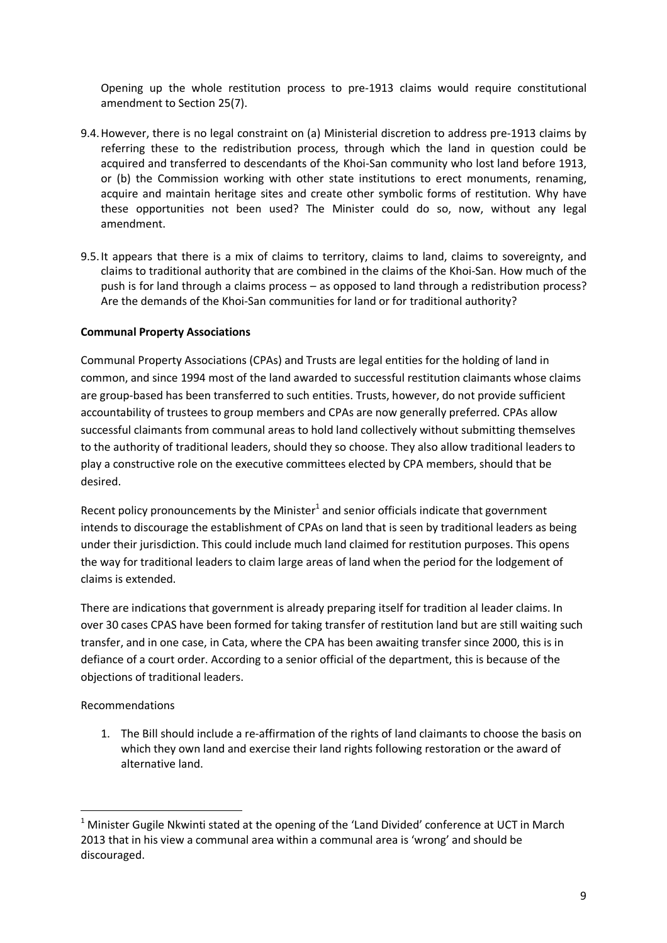Opening up the whole restitution process to pre-1913 claims would require constitutional amendment to Section 25(7).

- 9.4.However, there is no legal constraint on (a) Ministerial discretion to address pre-1913 claims by referring these to the redistribution process, through which the land in question could be acquired and transferred to descendants of the Khoi-San community who lost land before 1913, or (b) the Commission working with other state institutions to erect monuments, renaming, acquire and maintain heritage sites and create other symbolic forms of restitution. Why have these opportunities not been used? The Minister could do so, now, without any legal amendment.
- 9.5.It appears that there is a mix of claims to territory, claims to land, claims to sovereignty, and claims to traditional authority that are combined in the claims of the Khoi-San. How much of the push is for land through a claims process – as opposed to land through a redistribution process? Are the demands of the Khoi-San communities for land or for traditional authority?

## **Communal Property Associations**

Communal Property Associations (CPAs) and Trusts are legal entities for the holding of land in common, and since 1994 most of the land awarded to successful restitution claimants whose claims are group-based has been transferred to such entities. Trusts, however, do not provide sufficient accountability of trustees to group members and CPAs are now generally preferred. CPAs allow successful claimants from communal areas to hold land collectively without submitting themselves to the authority of traditional leaders, should they so choose. They also allow traditional leaders to play a constructive role on the executive committees elected by CPA members, should that be desired.

Recent policy pronouncements by the Minister<sup>1</sup> and senior officials indicate that government intends to discourage the establishment of CPAs on land that is seen by traditional leaders as being under their jurisdiction. This could include much land claimed for restitution purposes. This opens the way for traditional leaders to claim large areas of land when the period for the lodgement of claims is extended.

There are indications that government is already preparing itself for tradition al leader claims. In over 30 cases CPAS have been formed for taking transfer of restitution land but are still waiting such transfer, and in one case, in Cata, where the CPA has been awaiting transfer since 2000, this is in defiance of a court order. According to a senior official of the department, this is because of the objections of traditional leaders.

## Recommendations

 $\overline{a}$ 

1. The Bill should include a re-affirmation of the rights of land claimants to choose the basis on which they own land and exercise their land rights following restoration or the award of alternative land.

 $1$  Minister Gugile Nkwinti stated at the opening of the 'Land Divided' conference at UCT in March 2013 that in his view a communal area within a communal area is 'wrong' and should be discouraged.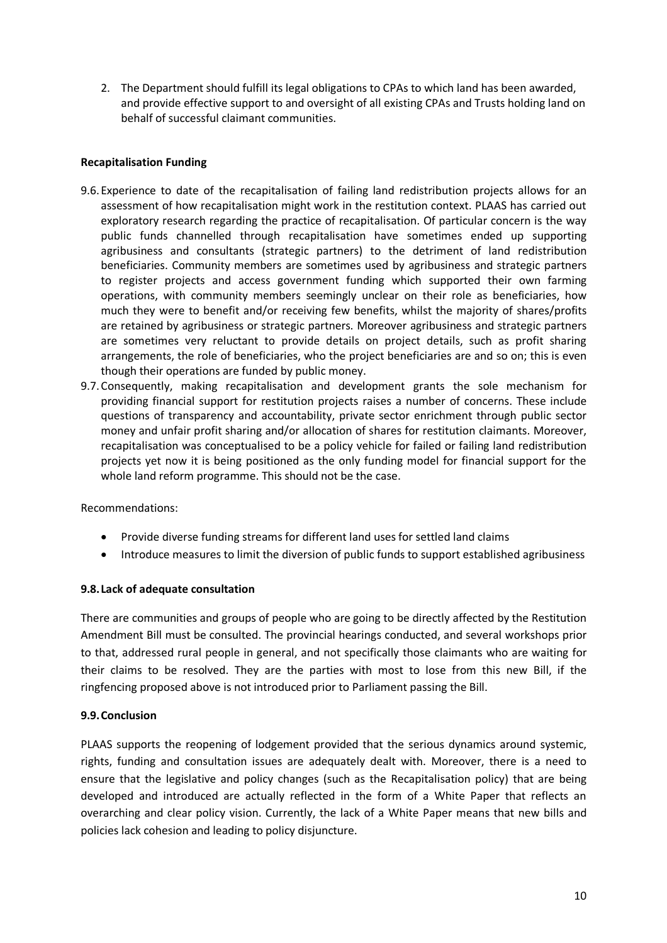2. The Department should fulfill its legal obligations to CPAs to which land has been awarded, and provide effective support to and oversight of all existing CPAs and Trusts holding land on behalf of successful claimant communities.

#### **Recapitalisation Funding**

- 9.6.Experience to date of the recapitalisation of failing land redistribution projects allows for an assessment of how recapitalisation might work in the restitution context. PLAAS has carried out exploratory research regarding the practice of recapitalisation. Of particular concern is the way public funds channelled through recapitalisation have sometimes ended up supporting agribusiness and consultants (strategic partners) to the detriment of land redistribution beneficiaries. Community members are sometimes used by agribusiness and strategic partners to register projects and access government funding which supported their own farming operations, with community members seemingly unclear on their role as beneficiaries, how much they were to benefit and/or receiving few benefits, whilst the majority of shares/profits are retained by agribusiness or strategic partners. Moreover agribusiness and strategic partners are sometimes very reluctant to provide details on project details, such as profit sharing arrangements, the role of beneficiaries, who the project beneficiaries are and so on; this is even though their operations are funded by public money.
- 9.7.Consequently, making recapitalisation and development grants the sole mechanism for providing financial support for restitution projects raises a number of concerns. These include questions of transparency and accountability, private sector enrichment through public sector money and unfair profit sharing and/or allocation of shares for restitution claimants. Moreover, recapitalisation was conceptualised to be a policy vehicle for failed or failing land redistribution projects yet now it is being positioned as the only funding model for financial support for the whole land reform programme. This should not be the case.

Recommendations:

- Provide diverse funding streams for different land uses for settled land claims
- Introduce measures to limit the diversion of public funds to support established agribusiness

#### **9.8.Lack of adequate consultation**

There are communities and groups of people who are going to be directly affected by the Restitution Amendment Bill must be consulted. The provincial hearings conducted, and several workshops prior to that, addressed rural people in general, and not specifically those claimants who are waiting for their claims to be resolved. They are the parties with most to lose from this new Bill, if the ringfencing proposed above is not introduced prior to Parliament passing the Bill.

#### **9.9.Conclusion**

PLAAS supports the reopening of lodgement provided that the serious dynamics around systemic, rights, funding and consultation issues are adequately dealt with. Moreover, there is a need to ensure that the legislative and policy changes (such as the Recapitalisation policy) that are being developed and introduced are actually reflected in the form of a White Paper that reflects an overarching and clear policy vision. Currently, the lack of a White Paper means that new bills and policies lack cohesion and leading to policy disjuncture.